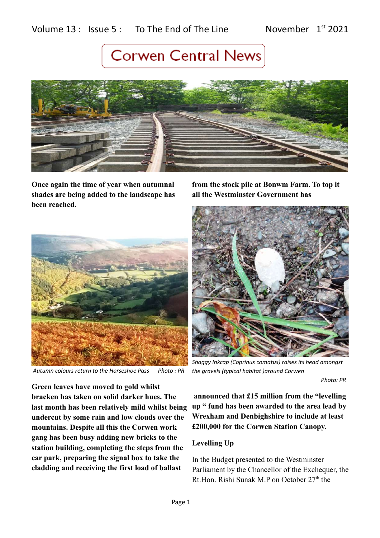

**Once again the time of year when autumnal shades are being added to the landscape has been reached.** 

**from the stock pile at Bonwm Farm. To top it all the Westminster Government has**



 *Autumn colours return to the Horseshoe Pass Photo : PR*



*Shaggy Inkcap (Coprinus comatus) raises its head amongst the gravels (typical habitat )around Corwen* 

 *Photo: PR*

**Green leaves have moved to gold whilst bracken has taken on solid darker hues. The last month has been relatively mild whilst being undercut by some rain and low clouds over the mountains. Despite all this the Corwen work gang has been busy adding new bricks to the station building, completing the steps from the car park, preparing the signal box to take the cladding and receiving the first load of ballast** 

 **announced that £15 million from the "levelling up " fund has been awarded to the area lead by Wrexham and Denbighshire to include at least £200,000 for the Corwen Station Canopy.**

### **Levelling Up**

In the Budget presented to the Westminster Parliament by the Chancellor of the Exchequer, the Rt.Hon. Rishi Sunak M.P on October 27<sup>th</sup> the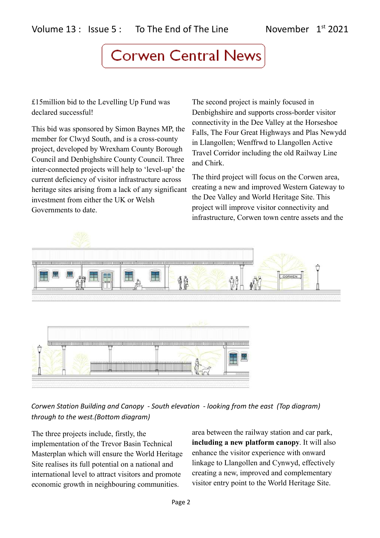£15million bid to the Levelling Up Fund was declared successful!

This bid was sponsored by Simon Baynes MP, the member for Clwyd South, and is a cross-county project, developed by Wrexham County Borough Council and Denbighshire County Council. Three inter-connected projects will help to 'level-up' the current deficiency of visitor infrastructure across heritage sites arising from a lack of any significant investment from either the UK or Welsh Governments to date.

The second project is mainly focused in Denbighshire and supports cross-border visitor connectivity in the Dee Valley at the Horseshoe Falls, The Four Great Highways and Plas Newydd in Llangollen; Wenffrwd to Llangollen Active Travel Corridor including the old Railway Line and Chirk.

The third project will focus on the Corwen area, creating a new and improved Western Gateway to the Dee Valley and World Heritage Site. This project will improve visitor connectivity and infrastructure, Corwen town centre assets and the



*Corwen Station Building and Canopy - South elevation - looking from the east (Top diagram) through to the west.(Bottom diagram)*

The three projects include, firstly, the implementation of the Trevor Basin Technical Masterplan which will ensure the World Heritage Site realises its full potential on a national and international level to attract visitors and promote economic growth in neighbouring communities.

area between the railway station and car park, **including a new platform canopy**. It will also enhance the visitor experience with onward linkage to Llangollen and Cynwyd, effectively creating a new, improved and complementary visitor entry point to the World Heritage Site.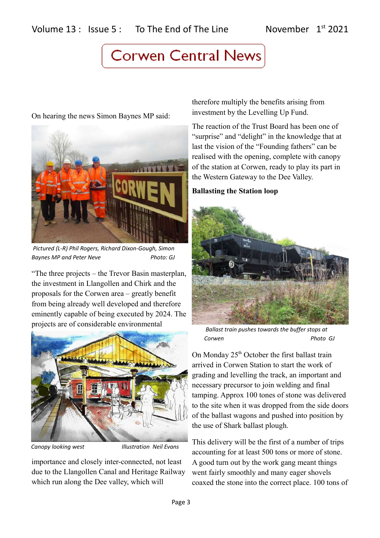On hearing the news Simon Baynes MP said:



 *Pictured (L-R) Phil Rogers, Richard Dixon-Gough, Simon*  **Baynes MP and Peter Neve** Photo: GJ

"The three projects – the Trevor Basin masterplan, the investment in Llangollen and Chirk and the proposals for the Corwen area – greatly benefit from being already well developed and therefore eminently capable of being executed by 2024. The projects are of considerable environmental



*Canopy looking west Illustration Neil Evans*

importance and closely inter-connected, not least due to the Llangollen Canal and Heritage Railway which run along the Dee valley, which will

therefore multiply the benefits arising from investment by the Levelling Up Fund.

The reaction of the Trust Board has been one of "surprise" and "delight" in the knowledge that at last the vision of the "Founding fathers" can be realised with the opening, complete with canopy of the station at Corwen, ready to play its part in the Western Gateway to the Dee Valley.

### **Ballasting the Station loop**



 *Ballast train pushes towards the buffer stops at Corwen Photo GJ*

On Monday 25<sup>th</sup> October the first ballast train arrived in Corwen Station to start the work of grading and levelling the track, an important and necessary precursor to join welding and final tamping. Approx 100 tones of stone was delivered to the site when it was dropped from the side doors of the ballast wagons and pushed into position by the use of Shark ballast plough.

This delivery will be the first of a number of trips accounting for at least 500 tons or more of stone. A good turn out by the work gang meant things went fairly smoothly and many eager shovels coaxed the stone into the correct place. 100 tons of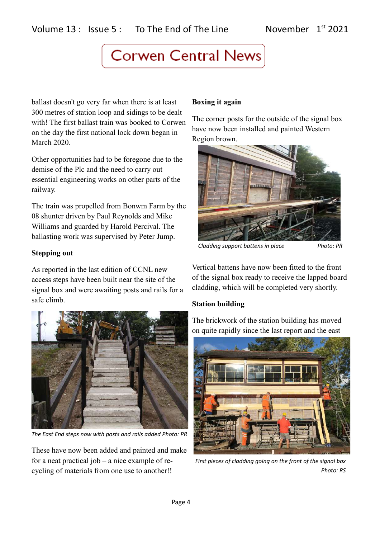ballast doesn't go very far when there is at least 300 metres of station loop and sidings to be dealt with! The first ballast train was booked to Corwen on the day the first national lock down began in March 2020.

Other opportunities had to be foregone due to the demise of the Plc and the need to carry out essential engineering works on other parts of the railway.

The train was propelled from Bonwm Farm by the 08 shunter driven by Paul Reynolds and Mike Williams and guarded by Harold Percival. The ballasting work was supervised by Peter Jump.

### **Stepping out**

As reported in the last edition of CCNL new access steps have been built near the site of the signal box and were awaiting posts and rails for a safe climb.



*The East End steps now with posts and rails added Photo: PR*

These have now been added and painted and make for a neat practical job – a nice example of recycling of materials from one use to another!!

## **Boxing it again**

The corner posts for the outside of the signal box have now been installed and painted Western Region brown.



*Cladding support battens in place Photo: PR*

Vertical battens have now been fitted to the front of the signal box ready to receive the lapped board cladding, which will be completed very shortly.

## **Station building**

The brickwork of the station building has moved on quite rapidly since the last report and the east



*First pieces of cladding going on the front of the signal box Photo: RS*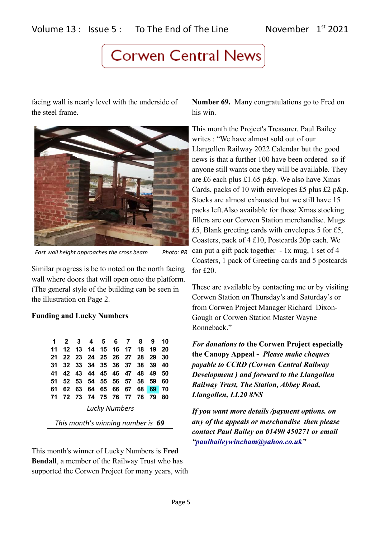facing wall is nearly level with the underside of the steel frame.



*East wall height approaches the cross beam Photo: PR*

Similar progress is be to noted on the north facing wall where doors that will open onto the platform. (The general style of the building can be seen in the illustration on Page 2.

### **Funding and Lucky Numbers**

| 1                                 | $\overline{2}$ | -3   | 4    | - 5      | 6    | - 7  | 8    | 9  | 10 |
|-----------------------------------|----------------|------|------|----------|------|------|------|----|----|
| 11                                | 12             | -13  | - 14 | - 15     | - 16 | - 17 | 18   | 19 | 20 |
| 21                                | 22             | - 23 | 24   | - 25     | - 26 | - 27 | - 28 | 29 | 30 |
| 31                                | 32             | - 33 | 34   | 35 36    |      | 37   | 38   | 39 | 40 |
| 41                                | 42             | - 43 | 44   | 45 46 47 |      |      | -48  | 49 | 50 |
| 51                                | 52             | - 53 | 54   | 55 56    |      | 57   | 58   | 59 | 60 |
| 61                                | 62             | 63   | 64   | 65       | 66   | 67   | 68   | 69 | 70 |
| 71                                | 72             | - 73 | 74   | 75 76 77 |      |      | - 78 | 79 | 80 |
| <b>Lucky Numbers</b>              |                |      |      |          |      |      |      |    |    |
| This month's winning number is 69 |                |      |      |          |      |      |      |    |    |

This month's winner of Lucky Numbers is **Fred Bendall**, a member of the Railway Trust who has supported the Corwen Project for many years, with

**Number 69.** Many congratulations go to Fred on his win.

This month the Project's Treasurer. Paul Bailey writes : "We have almost sold out of our Llangollen Railway 2022 Calendar but the good news is that a further 100 have been ordered so if anyone still wants one they will be available. They are £6 each plus £1.65 p&p. We also have Xmas Cards, packs of 10 with envelopes £5 plus £2 p&p. Stocks are almost exhausted but we still have 15 packs left.Also available for those Xmas stocking fillers are our Corwen Station merchandise. Mugs £5, Blank greeting cards with envelopes 5 for £5, Coasters, pack of 4 £10, Postcards 20p each. We can put a gift pack together - 1x mug, 1 set of 4 Coasters, 1 pack of Greeting cards and 5 postcards for £20.

These are available by contacting me or by visiting Corwen Station on Thursday's and Saturday's or from Corwen Project Manager Richard Dixon-Gough or Corwen Station Master Wayne Ronneback."

*For donations to* **the Corwen Project especially the Canopy Appeal -** *Please make cheques payable to CCRD (Corwen Central Railway Development ) and forward to the Llangollen Railway Trust, The Station, Abbey Road, Llangollen, LL20 8NS*

*If you want more details /payment options. on any of the appeals or merchandise then please contact Paul Bailey on 01490 450271 or email ["paulbaileywincham@yahoo.co.uk"](mailto:paulbaileywincham@yahoo.co.uk)*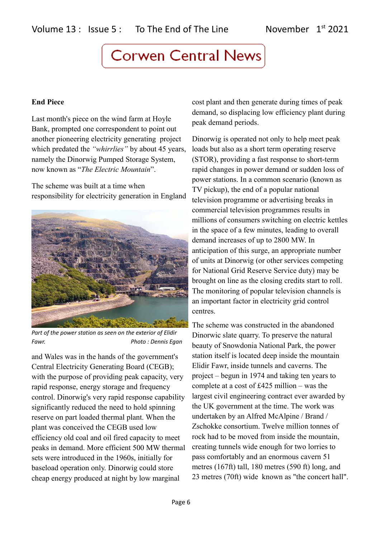#### **End Piece**

Last month's piece on the wind farm at Hoyle Bank, prompted one correspondent to point out another pioneering electricity generating project which predated the *"whirrlies"* by about 45 years, namely the Dinorwig Pumped Storage System, now known as "*The Electric Mountain*".

The scheme was built at a time when responsibility for electricity generation in England



*Part of the power station as seen on the exterior of Elidir Fawr. Photo : Dennis Egan*

and Wales was in the hands of the government's Central Electricity Generating Board (CEGB); with the purpose of providing peak capacity, very rapid response, energy storage and frequency control. Dinorwig's very rapid response capability significantly reduced the need to hold spinning reserve on part loaded thermal plant. When the plant was conceived the CEGB used low efficiency old coal and oil fired capacity to meet peaks in demand. More efficient 500 MW thermal sets were introduced in the 1960s, initially for baseload operation only. Dinorwig could store cheap energy produced at night by low marginal

cost plant and then generate during times of peak demand, so displacing low efficiency plant during peak demand periods.

Dinorwig is operated not only to help meet peak loads but also as a short term operating reserve (STOR), providing a fast response to short-term rapid changes in power demand or sudden loss of power stations. In a common scenario (known as TV pickup), the end of a popular national television programme or advertising breaks in commercial television programmes results in millions of consumers switching on electric kettles in the space of a few minutes, leading to overall demand increases of up to 2800 MW. In anticipation of this surge, an appropriate number of units at Dinorwig (or other services competing for National Grid Reserve Service duty) may be brought on line as the closing credits start to roll. The monitoring of popular television channels is an important factor in electricity grid control centres.

The scheme was constructed in the abandoned Dinorwic slate quarry. To preserve the natural beauty of Snowdonia National Park, the power station itself is located deep inside the mountain Elidir Fawr, inside tunnels and caverns. The project – begun in 1974 and taking ten years to complete at a cost of £425 million – was the largest civil engineering contract ever awarded by the UK government at the time. The work was undertaken by an Alfred McAlpine / Brand / Zschokke consortium. Twelve million tonnes of rock had to be moved from inside the mountain, creating tunnels wide enough for two lorries to pass comfortably and an enormous cavern 51 metres (167ft) tall, 180 metres (590 ft) long, and 23 metres (70ft) wide known as "the concert hall".